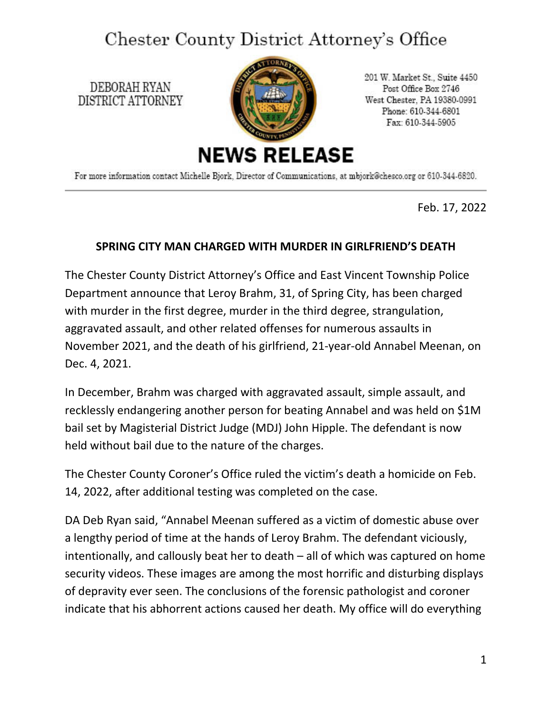## Chester County District Attorney's Office

DEBORAH RYAN DISTRICT ATTORNEY



201 W. Market St., Suite 4450 Post Office Box 2746 West Chester, PA 19380-0991 Phone: 610-344-6801 Fax: 610-344-5905

For more information contact Michelle Bjork, Director of Communications, at mbjork@chesco.org or 610-344-6820.

Feb. 17, 2022

## **SPRING CITY MAN CHARGED WITH MURDER IN GIRLFRIEND'S DEATH**

The Chester County District Attorney's Office and East Vincent Township Police Department announce that Leroy Brahm, 31, of Spring City, has been charged with murder in the first degree, murder in the third degree, strangulation, aggravated assault, and other related offenses for numerous assaults in November 2021, and the death of his girlfriend, 21-year-old Annabel Meenan, on Dec. 4, 2021.

In December, Brahm was charged with aggravated assault, simple assault, and recklessly endangering another person for beating Annabel and was held on \$1M bail set by Magisterial District Judge (MDJ) John Hipple. The defendant is now held without bail due to the nature of the charges.

The Chester County Coroner's Office ruled the victim's death a homicide on Feb. 14, 2022, after additional testing was completed on the case.

DA Deb Ryan said, "Annabel Meenan suffered as a victim of domestic abuse over a lengthy period of time at the hands of Leroy Brahm. The defendant viciously, intentionally, and callously beat her to death – all of which was captured on home security videos. These images are among the most horrific and disturbing displays of depravity ever seen. The conclusions of the forensic pathologist and coroner indicate that his abhorrent actions caused her death. My office will do everything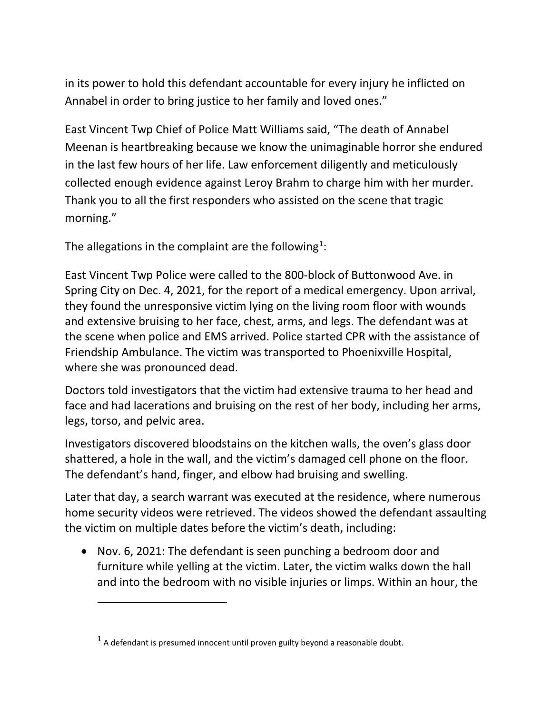in its power to hold this defendant accountable for every injury he inflicted on Annabel in order to bring justice to her family and loved ones."

East Vincent Twp Chief of Police Matt Williams said, "The death of Annabel Meenan is heartbreaking because we know the unimaginable horror she endured in the last few hours of her life. Law enforcement diligently and meticulously collected enough evidence against Leroy Brahm to charge him with her murder. Thank you to all the first responders who assisted on the scene that tragic morning."

The allegations in the complaint are the following<sup>[1](#page-1-0)</sup>:

East Vincent Twp Police were called to the 800-block of Buttonwood Ave. in Spring City on Dec. 4, 2021, for the report of a medical emergency. Upon arrival, they found the unresponsive victim lying on the living room floor with wounds and extensive bruising to her face, chest, arms, and legs. The defendant was at the scene when police and EMS arrived. Police started CPR with the assistance of Friendship Ambulance. The victim was transported to Phoenixville Hospital, where she was pronounced dead.

Doctors told investigators that the victim had extensive trauma to her head and face and had lacerations and bruising on the rest of her body, including her arms, legs, torso, and pelvic area.

Investigators discovered bloodstains on the kitchen walls, the oven's glass door shattered, a hole in the wall, and the victim's damaged cell phone on the floor. The defendant's hand, finger, and elbow had bruising and swelling.

Later that day, a search warrant was executed at the residence, where numerous home security videos were retrieved. The videos showed the defendant assaulting the victim on multiple dates before the victim's death, including:

• Nov. 6, 2021: The defendant is seen punching a bedroom door and furniture while yelling at the victim. Later, the victim walks down the hall and into the bedroom with no visible injuries or limps. Within an hour, the

<span id="page-1-0"></span> $<sup>1</sup>$  A defendant is presumed innocent until proven guilty beyond a reasonable doubt.</sup>